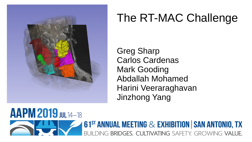

# The RT-MAC Challenge

Greg Sharp Carlos Cardenas Mark Gooding Abdallah Mohamed Harini Veeraraghavan Jinzhong Yang

AAPM 2019 JUL 14-18 **61<sup>ST</sup> ANNUAL MEETING & EXHIBITION | SAN ANTONIO, TX** DING BRIDGES, CULTIVATING SAFETY, GROWING VALUE.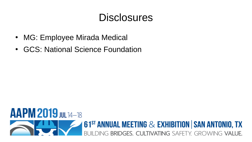### **Disclosures**

- MG: Employee Mirada Medical
- GCS: National Science Foundation

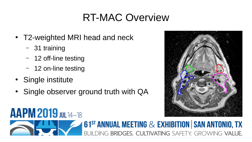# RT-MAC Overview

- T2-weighted MRI head and neck
	- 31 training
	- 12 off-line testing
	- 12 on-line testing
- Single institute
- Single observer ground truth with QA



#### **AAPM 2019 JUL 14-18 61<sup>st</sup> ANNUAL MEETING & EXHIBITION | SAN ANTONIO, TX** JII DING BRIDGES, CULTIVATING SAFFTY GROWING VALUE.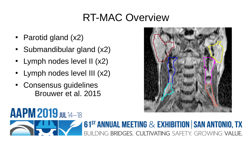### RT-MAC Overview

- Parotid gland  $(x2)$
- Submandibular gland  $(x2)$
- $\cdot$  Lymph nodes level II (x2)
- Lymph nodes level III (x2)
- Consensus guidelines Brouwer et al. 2015



#### AAPM 2019 JUL 14-18 **61<sup>ST</sup> ANNUAL MEETING & EXHIBITION | SAN ANTONIO, TX** DING BRIDGES, CULTIVATING SAFFTY GROWING VALUE.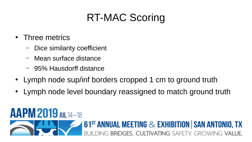- Three metrics
	- Dice similarity coefficient
	- Mean surface distance
	- 95% Hausdorff distance
- Lymph node sup/inf borders cropped 1 cm to ground truth
- Lymph node level boundary reassigned to match ground truth

#### **AAPM 2019 JULT4-18 61<sup>ST</sup> ANNUAL MEETING & EXHIBITION | SAN ANTONIO, TX** BRIDGES. CULTIVATING SAFETY. GROWING VALUE.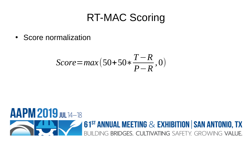• Score normalization

$$
Score = \max(50+50*\frac{T-R}{P-R}, 0)
$$

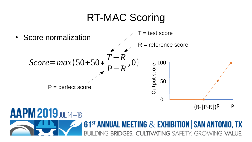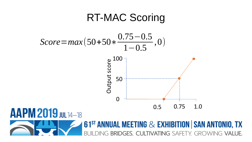

BRIDGES. CULTIVATING SAFETY. GROWING VALUE.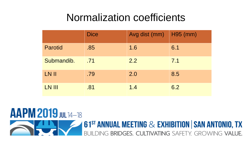### Normalization coefficients

|                | <b>Dice</b> | Avg dist (mm) | H95 (mm) |
|----------------|-------------|---------------|----------|
| <b>Parotid</b> | .85         | 1.6           | 6.1      |
| Submandib.     | .71         | 2.2           | 7.1      |
| LN II          | .79         | 2.0           | 8.5      |
| LN III         | .81         | 1.4           | 6.2      |

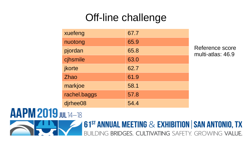# Off-line challenge

| xuefeng      | 67.7 |
|--------------|------|
| nuotong      | 65.9 |
| pjordan      | 65.8 |
| cjhsmile     | 63.0 |
| jkorte       | 62.7 |
| <b>Zhao</b>  | 61.9 |
| markjoe      | 58.1 |
| rachel.baggs | 57.8 |
| dirhee08     | 54.4 |

Reference score multi-atlas: 46.9

#### **AAPM 2019 JUL 14-18 61<sup>ST</sup> ANNUAL MEETING & EXHIBITION | SAN ANTONIO, TX** DING BRIDGES. CULTIVATING SAFETY. GROWING VALUE.